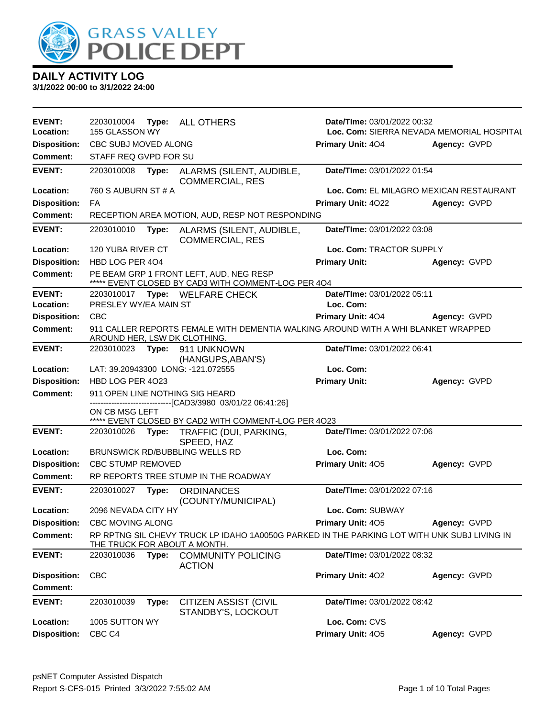

| <b>EVENT:</b>                   | 2203010004                                    |       | Type: ALL OTHERS                                                                                                            | Date/TIme: 03/01/2022 00:32 | Loc. Com: SIERRA NEVADA MEMORIAL HOSPITAL |
|---------------------------------|-----------------------------------------------|-------|-----------------------------------------------------------------------------------------------------------------------------|-----------------------------|-------------------------------------------|
| Location:                       | 155 GLASSON WY                                |       |                                                                                                                             |                             |                                           |
| <b>Disposition:</b><br>Comment: | CBC SUBJ MOVED ALONG<br>STAFF REQ GVPD FOR SU |       |                                                                                                                             | Primary Unit: 404           | Agency: GVPD                              |
| <b>EVENT:</b>                   |                                               |       |                                                                                                                             | Date/TIme: 03/01/2022 01:54 |                                           |
|                                 | 2203010008                                    | Type: | ALARMS (SILENT, AUDIBLE,<br><b>COMMERCIAL, RES</b>                                                                          |                             |                                           |
| Location:                       | 760 S AUBURN ST # A                           |       |                                                                                                                             |                             | Loc. Com: EL MILAGRO MEXICAN RESTAURANT   |
| <b>Disposition:</b>             | FA                                            |       |                                                                                                                             | Primary Unit: 4022          | Agency: GVPD                              |
| <b>Comment:</b>                 |                                               |       | RECEPTION AREA MOTION, AUD, RESP NOT RESPONDING                                                                             |                             |                                           |
| <b>EVENT:</b>                   | 2203010010                                    | Type: | ALARMS (SILENT, AUDIBLE,<br><b>COMMERCIAL, RES</b>                                                                          | Date/TIme: 03/01/2022 03:08 |                                           |
| Location:                       | 120 YUBA RIVER CT                             |       |                                                                                                                             | Loc. Com: TRACTOR SUPPLY    |                                           |
| <b>Disposition:</b>             | HBD LOG PER 404                               |       |                                                                                                                             | <b>Primary Unit:</b>        | Agency: GVPD                              |
| Comment:                        |                                               |       | PE BEAM GRP 1 FRONT LEFT, AUD, NEG RESP<br>***** EVENT CLOSED BY CAD3 WITH COMMENT-LOG PER 404                              |                             |                                           |
| <b>EVENT:</b>                   |                                               |       | 2203010017 Type: WELFARE CHECK                                                                                              | Date/TIme: 03/01/2022 05:11 |                                           |
| Location:                       | PRESLEY WY/EA MAIN ST                         |       |                                                                                                                             | Loc. Com:                   |                                           |
| <b>Disposition:</b>             | CBC                                           |       |                                                                                                                             | <b>Primary Unit: 404</b>    | Agency: GVPD                              |
| Comment:                        | AROUND HER, LSW DK CLOTHING.                  |       | 911 CALLER REPORTS FEMALE WITH DEMENTIA WALKING AROUND WITH A WHI BLANKET WRAPPED                                           |                             |                                           |
| <b>EVENT:</b>                   | 2203010023                                    | Type: | 911 UNKNOWN                                                                                                                 | Date/TIme: 03/01/2022 06:41 |                                           |
| Location:                       |                                               |       | (HANGUPS, ABAN'S)<br>LAT: 39.20943300 LONG: -121.072555                                                                     | Loc. Com:                   |                                           |
| <b>Disposition:</b>             | HBD LOG PER 4023                              |       |                                                                                                                             | <b>Primary Unit:</b>        | Agency: GVPD                              |
| Comment:                        |                                               |       | 911 OPEN LINE NOTHING SIG HEARD                                                                                             |                             |                                           |
|                                 |                                               |       | ----------------------[CAD3/3980_03/01/22 06:41:26]                                                                         |                             |                                           |
|                                 | ON CB MSG LEFT                                |       | ***** EVENT CLOSED BY CAD2 WITH COMMENT-LOG PER 4023                                                                        |                             |                                           |
| <b>EVENT:</b>                   | 2203010026                                    | Type: | TRAFFIC (DUI, PARKING,                                                                                                      | Date/TIme: 03/01/2022 07:06 |                                           |
| Location:                       |                                               |       | SPEED, HAZ<br>BRUNSWICK RD/BUBBLING WELLS RD                                                                                | Loc. Com:                   |                                           |
| <b>Disposition:</b>             | <b>CBC STUMP REMOVED</b>                      |       |                                                                                                                             | Primary Unit: 405           | Agency: GVPD                              |
| Comment:                        |                                               |       | RP REPORTS TREE STUMP IN THE ROADWAY                                                                                        |                             |                                           |
| <b>EVENT:</b>                   | 2203010027                                    | Type: | <b>ORDINANCES</b><br>(COUNTY/MUNICIPAL)                                                                                     | Date/TIme: 03/01/2022 07:16 |                                           |
| Location:                       | 2096 NEVADA CITY HY                           |       |                                                                                                                             | Loc. Com: SUBWAY            |                                           |
| <b>Disposition:</b>             | <b>CBC MOVING ALONG</b>                       |       |                                                                                                                             | Primary Unit: 405           | Agency: GVPD                              |
| <b>Comment:</b>                 |                                               |       | RP RPTNG SIL CHEVY TRUCK LP IDAHO 1A0050G PARKED IN THE PARKING LOT WITH UNK SUBJ LIVING IN<br>THE TRUCK FOR ABOUT A MONTH. |                             |                                           |
| <b>EVENT:</b>                   | 2203010036                                    | Type: | <b>COMMUNITY POLICING</b><br><b>ACTION</b>                                                                                  | Date/TIme: 03/01/2022 08:32 |                                           |
| <b>Disposition:</b>             | <b>CBC</b>                                    |       |                                                                                                                             | Primary Unit: 402           | Agency: GVPD                              |
| <b>Comment:</b>                 |                                               |       |                                                                                                                             |                             |                                           |
| <b>EVENT:</b>                   | 2203010039                                    | Type: | <b>CITIZEN ASSIST (CIVIL</b><br>STANDBY'S, LOCKOUT                                                                          | Date/TIme: 03/01/2022 08:42 |                                           |
| Location:                       | 1005 SUTTON WY                                |       |                                                                                                                             | Loc. Com: CVS               |                                           |
| <b>Disposition:</b>             | CBC <sub>C4</sub>                             |       |                                                                                                                             | Primary Unit: 405           | Agency: GVPD                              |
|                                 |                                               |       |                                                                                                                             |                             |                                           |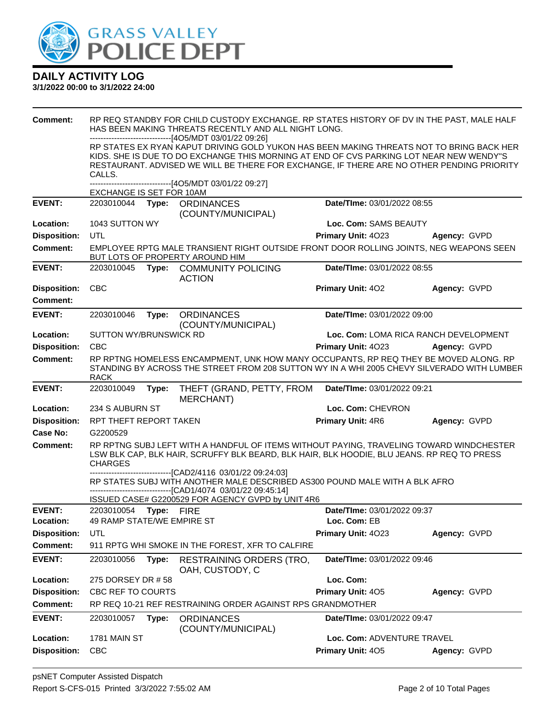

| <b>Comment:</b>     | RP REQ STANDBY FOR CHILD CUSTODY EXCHANGE. RP STATES HISTORY OF DV IN THE PAST, MALE HALF<br>HAS BEEN MAKING THREATS RECENTLY AND ALL NIGHT LONG.<br>------------------------------[4O5/MDT 03/01/22 09:26] |       |                                                                                                                                                                                                                                                                                  |                                       |              |
|---------------------|-------------------------------------------------------------------------------------------------------------------------------------------------------------------------------------------------------------|-------|----------------------------------------------------------------------------------------------------------------------------------------------------------------------------------------------------------------------------------------------------------------------------------|---------------------------------------|--------------|
|                     | CALLS.                                                                                                                                                                                                      |       | RP STATES EX RYAN KAPUT DRIVING GOLD YUKON HAS BEEN MAKING THREATS NOT TO BRING BACK HER<br>KIDS. SHE IS DUE TO DO EXCHANGE THIS MORNING AT END OF CVS PARKING LOT NEAR NEW WENDY"S<br>RESTAURANT. ADVISED WE WILL BE THERE FOR EXCHANGE, IF THERE ARE NO OTHER PENDING PRIORITY |                                       |              |
|                     |                                                                                                                                                                                                             |       | ---------------[4O5/MDT 03/01/22 09:27]                                                                                                                                                                                                                                          |                                       |              |
| <b>EVENT:</b>       | EXCHANGE IS SET FOR 10AM                                                                                                                                                                                    |       |                                                                                                                                                                                                                                                                                  | Date/TIme: 03/01/2022 08:55           |              |
|                     |                                                                                                                                                                                                             |       | 2203010044 Type: ORDINANCES<br>(COUNTY/MUNICIPAL)                                                                                                                                                                                                                                |                                       |              |
| Location:           | 1043 SUTTON WY                                                                                                                                                                                              |       |                                                                                                                                                                                                                                                                                  | Loc. Com: SAMS BEAUTY                 |              |
| <b>Disposition:</b> | <b>UTL</b>                                                                                                                                                                                                  |       |                                                                                                                                                                                                                                                                                  | Primary Unit: 4023                    | Agency: GVPD |
| <b>Comment:</b>     |                                                                                                                                                                                                             |       | EMPLOYEE RPTG MALE TRANSIENT RIGHT OUTSIDE FRONT DOOR ROLLING JOINTS, NEG WEAPONS SEEN<br>BUT LOTS OF PROPERTY AROUND HIM                                                                                                                                                        |                                       |              |
| <b>EVENT:</b>       | 2203010045                                                                                                                                                                                                  |       | Type: COMMUNITY POLICING<br><b>ACTION</b>                                                                                                                                                                                                                                        | Date/TIme: 03/01/2022 08:55           |              |
| <b>Disposition:</b> | <b>CBC</b>                                                                                                                                                                                                  |       |                                                                                                                                                                                                                                                                                  | Primary Unit: 402                     | Agency: GVPD |
| <b>Comment:</b>     |                                                                                                                                                                                                             |       |                                                                                                                                                                                                                                                                                  |                                       |              |
| <b>EVENT:</b>       | 2203010046                                                                                                                                                                                                  | Type: | <b>ORDINANCES</b><br>(COUNTY/MUNICIPAL)                                                                                                                                                                                                                                          | Date/TIme: 03/01/2022 09:00           |              |
| Location:           | SUTTON WY/BRUNSWICK RD                                                                                                                                                                                      |       |                                                                                                                                                                                                                                                                                  | Loc. Com: LOMA RICA RANCH DEVELOPMENT |              |
| <b>Disposition:</b> | <b>CBC</b>                                                                                                                                                                                                  |       |                                                                                                                                                                                                                                                                                  | Primary Unit: 4023                    | Agency: GVPD |
| <b>Comment:</b>     | RP RPTNG HOMELESS ENCAMPMENT, UNK HOW MANY OCCUPANTS, RP REQ THEY BE MOVED ALONG. RP<br>STANDING BY ACROSS THE STREET FROM 208 SUTTON WY IN A WHI 2005 CHEVY SILVERADO WITH LUMBER<br><b>RACK</b>           |       |                                                                                                                                                                                                                                                                                  |                                       |              |
| <b>EVENT:</b>       | 2203010049                                                                                                                                                                                                  | Type: | THEFT (GRAND, PETTY, FROM<br><b>MERCHANT)</b>                                                                                                                                                                                                                                    | Date/TIme: 03/01/2022 09:21           |              |
| Location:           | 234 S AUBURN ST                                                                                                                                                                                             |       |                                                                                                                                                                                                                                                                                  | Loc. Com: CHEVRON                     |              |
| <b>Disposition:</b> | RPT THEFT REPORT TAKEN                                                                                                                                                                                      |       |                                                                                                                                                                                                                                                                                  | Primary Unit: 4R6                     | Agency: GVPD |
| <b>Case No:</b>     | G2200529                                                                                                                                                                                                    |       |                                                                                                                                                                                                                                                                                  |                                       |              |
| <b>Comment:</b>     | <b>CHARGES</b>                                                                                                                                                                                              |       | RP RPTNG SUBJ LEFT WITH A HANDFUL OF ITEMS WITHOUT PAYING, TRAVELING TOWARD WINDCHESTER<br>LSW BLK CAP, BLK HAIR, SCRUFFY BLK BEARD, BLK HAIR, BLK HOODIE, BLU JEANS. RP REQ TO PRESS                                                                                            |                                       |              |
|                     |                                                                                                                                                                                                             |       | --------------------------------[CAD2/4116 03/01/22 09:24:03]<br>RP STATES SUBJ WITH ANOTHER MALE DESCRIBED AS300 POUND MALE WITH A BLK AFRO<br>--------------------------------[CAD1/4074 03/01/22 09:45:14]                                                                    |                                       |              |
|                     |                                                                                                                                                                                                             |       | ISSUED CASE# G2200529 FOR AGENCY GVPD by UNIT 4R6                                                                                                                                                                                                                                |                                       |              |
| EVENT:              | 2203010054 Type: FIRE                                                                                                                                                                                       |       |                                                                                                                                                                                                                                                                                  | Date/TIme: 03/01/2022 09:37           |              |
| Location:           | 49 RAMP STATE/WE EMPIRE ST                                                                                                                                                                                  |       |                                                                                                                                                                                                                                                                                  | Loc. Com: EB                          |              |
| <b>Disposition:</b> | UTL                                                                                                                                                                                                         |       |                                                                                                                                                                                                                                                                                  | Primary Unit: 4023                    | Agency: GVPD |
| <b>Comment:</b>     |                                                                                                                                                                                                             |       | 911 RPTG WHI SMOKE IN THE FOREST, XFR TO CALFIRE                                                                                                                                                                                                                                 |                                       |              |
| <b>EVENT:</b>       | 2203010056                                                                                                                                                                                                  | Type: | RESTRAINING ORDERS (TRO,<br>OAH, CUSTODY, C                                                                                                                                                                                                                                      | Date/TIme: 03/01/2022 09:46           |              |
| Location:           | 275 DORSEY DR # 58                                                                                                                                                                                          |       |                                                                                                                                                                                                                                                                                  | Loc. Com:                             |              |
| <b>Disposition:</b> | CBC REF TO COURTS                                                                                                                                                                                           |       |                                                                                                                                                                                                                                                                                  | Primary Unit: 405                     | Agency: GVPD |
| <b>Comment:</b>     |                                                                                                                                                                                                             |       | RP REQ 10-21 REF RESTRAINING ORDER AGAINST RPS GRANDMOTHER                                                                                                                                                                                                                       |                                       |              |
| <b>EVENT:</b>       | 2203010057                                                                                                                                                                                                  | Type: | <b>ORDINANCES</b><br>(COUNTY/MUNICIPAL)                                                                                                                                                                                                                                          | Date/TIme: 03/01/2022 09:47           |              |
| Location:           | 1781 MAIN ST                                                                                                                                                                                                |       |                                                                                                                                                                                                                                                                                  | Loc. Com: ADVENTURE TRAVEL            |              |
| <b>Disposition:</b> | <b>CBC</b>                                                                                                                                                                                                  |       |                                                                                                                                                                                                                                                                                  | Primary Unit: 405                     | Agency: GVPD |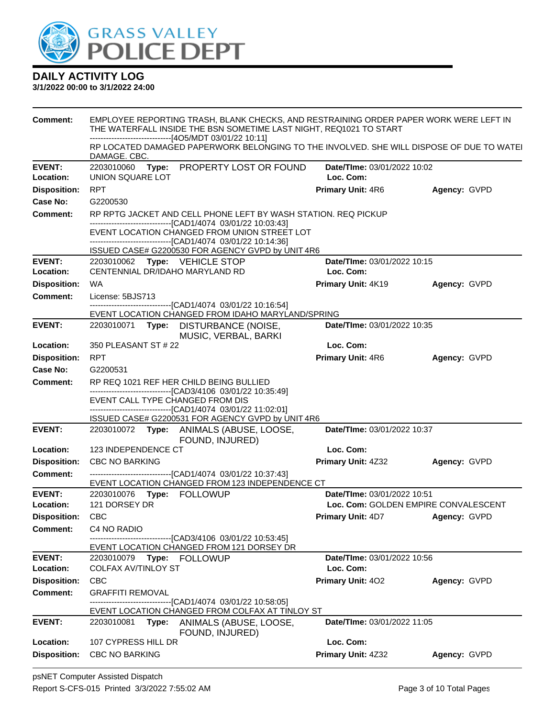

| <b>Comment:</b>     | EMPLOYEE REPORTING TRASH, BLANK CHECKS, AND RESTRAINING ORDER PAPER WORK WERE LEFT IN<br>THE WATERFALL INSIDE THE BSN SOMETIME LAST NIGHT, REQ1021 TO START<br>------------------------------[4O5/MDT 03/01/22 10:11] |                             |                                      |  |  |
|---------------------|-----------------------------------------------------------------------------------------------------------------------------------------------------------------------------------------------------------------------|-----------------------------|--------------------------------------|--|--|
|                     | RP LOCATED DAMAGED PAPERWORK BELONGING TO THE INVOLVED. SHE WILL DISPOSE OF DUE TO WATEI<br>DAMAGE. CBC.                                                                                                              |                             |                                      |  |  |
| <b>EVENT:</b>       | 2203010060 Type: PROPERTY LOST OR FOUND                                                                                                                                                                               | Date/TIme: 03/01/2022 10:02 |                                      |  |  |
| Location:           | UNION SQUARE LOT                                                                                                                                                                                                      | Loc. Com:                   |                                      |  |  |
| <b>Disposition:</b> | <b>RPT</b>                                                                                                                                                                                                            | <b>Primary Unit: 4R6</b>    | Agency: GVPD                         |  |  |
| Case No:            | G2200530                                                                                                                                                                                                              |                             |                                      |  |  |
| <b>Comment:</b>     | RP RPTG JACKET AND CELL PHONE LEFT BY WASH STATION. REQ PICKUP                                                                                                                                                        |                             |                                      |  |  |
|                     | -------------------------------[CAD1/4074 03/01/22 10:03:43]<br>EVENT LOCATION CHANGED FROM UNION STREET LOT                                                                                                          |                             |                                      |  |  |
|                     | -------------------------------[CAD1/4074 03/01/22 10:14:36]                                                                                                                                                          |                             |                                      |  |  |
|                     | ISSUED CASE# G2200530 FOR AGENCY GVPD by UNIT 4R6                                                                                                                                                                     |                             |                                      |  |  |
| <b>EVENT:</b>       | 2203010062 Type: VEHICLE STOP                                                                                                                                                                                         | Date/TIme: 03/01/2022 10:15 |                                      |  |  |
| Location:           | CENTENNIAL DR/IDAHO MARYLAND RD                                                                                                                                                                                       | Loc. Com:                   |                                      |  |  |
| <b>Disposition:</b> | WA.                                                                                                                                                                                                                   | <b>Primary Unit: 4K19</b>   | Agency: GVPD                         |  |  |
| Comment:            | License: 5BJS713<br>-------------------------------[CAD1/4074 03/01/22 10:16:54]                                                                                                                                      |                             |                                      |  |  |
|                     | EVENT LOCATION CHANGED FROM IDAHO MARYLAND/SPRING                                                                                                                                                                     |                             |                                      |  |  |
| <b>EVENT:</b>       | 2203010071 Type: DISTURBANCE (NOISE,<br>MUSIC, VERBAL, BARKI                                                                                                                                                          | Date/TIme: 03/01/2022 10:35 |                                      |  |  |
| Location:           | 350 PLEASANT ST # 22                                                                                                                                                                                                  | Loc. Com:                   |                                      |  |  |
| <b>Disposition:</b> | <b>RPT</b>                                                                                                                                                                                                            | Primary Unit: 4R6           | Agency: GVPD                         |  |  |
| Case No:            | G2200531                                                                                                                                                                                                              |                             |                                      |  |  |
| <b>Comment:</b>     | RP REQ 1021 REF HER CHILD BEING BULLIED                                                                                                                                                                               |                             |                                      |  |  |
|                     | --------------------------------[CAD3/4106 03/01/22 10:35:49]<br>EVENT CALL TYPE CHANGED FROM DIS                                                                                                                     |                             |                                      |  |  |
|                     | ------------------------------[CAD1/4074 03/01/22 11:02:01]                                                                                                                                                           |                             |                                      |  |  |
|                     | ISSUED CASE# G2200531 FOR AGENCY GVPD by UNIT 4R6                                                                                                                                                                     |                             |                                      |  |  |
| <b>EVENT:</b>       | 2203010072 Type: ANIMALS (ABUSE, LOOSE,<br>FOUND, INJURED)                                                                                                                                                            | Date/TIme: 03/01/2022 10:37 |                                      |  |  |
| Location:           | 123 INDEPENDENCE CT                                                                                                                                                                                                   | Loc. Com:                   |                                      |  |  |
| <b>Disposition:</b> | <b>CBC NO BARKING</b>                                                                                                                                                                                                 | <b>Primary Unit: 4Z32</b>   | Agency: GVPD                         |  |  |
| <b>Comment:</b>     | -------------------------------[CAD1/4074 03/01/22 10:37:43]<br>EVENT LOCATION CHANGED FROM 123 INDEPENDENCE CT                                                                                                       |                             |                                      |  |  |
| <b>EVENT:</b>       |                                                                                                                                                                                                                       | Date/TIme: 03/01/2022 10:51 |                                      |  |  |
| Location:           | 121 DORSEY DR                                                                                                                                                                                                         |                             | Loc. Com: GOLDEN EMPIRE CONVALESCENT |  |  |
| <b>Disposition:</b> | <b>CBC</b>                                                                                                                                                                                                            | <b>Primary Unit: 4D7</b>    | Agency: GVPD                         |  |  |
| <b>Comment:</b>     | C4 NO RADIO<br>-----------------[CAD3/4106_03/01/22 10:53:45]                                                                                                                                                         |                             |                                      |  |  |
|                     | EVENT LOCATION CHANGED FROM 121 DORSEY DR                                                                                                                                                                             |                             |                                      |  |  |
| <b>EVENT:</b>       |                                                                                                                                                                                                                       | Date/TIme: 03/01/2022 10:56 |                                      |  |  |
| Location:           | <b>COLFAX AV/TINLOY ST</b><br>Loc. Com:                                                                                                                                                                               |                             |                                      |  |  |
| <b>Disposition:</b> | <b>CBC</b>                                                                                                                                                                                                            | Primary Unit: 402           | Agency: GVPD                         |  |  |
| <b>Comment:</b>     | <b>GRAFFITI REMOVAL</b>                                                                                                                                                                                               |                             |                                      |  |  |
|                     | ----------------[CAD1/4074 03/01/22 10:58:05]<br>EVENT LOCATION CHANGED FROM COLFAX AT TINLOY ST                                                                                                                      |                             |                                      |  |  |
| <b>EVENT:</b>       | 2203010081 Type: ANIMALS (ABUSE, LOOSE,                                                                                                                                                                               | Date/TIme: 03/01/2022 11:05 |                                      |  |  |
| Location:           | FOUND, INJURED)<br>107 CYPRESS HILL DR                                                                                                                                                                                | Loc. Com:                   |                                      |  |  |
|                     | <b>CBC NO BARKING</b>                                                                                                                                                                                                 | Primary Unit: 4Z32          |                                      |  |  |
| <b>Disposition:</b> |                                                                                                                                                                                                                       |                             | Agency: GVPD                         |  |  |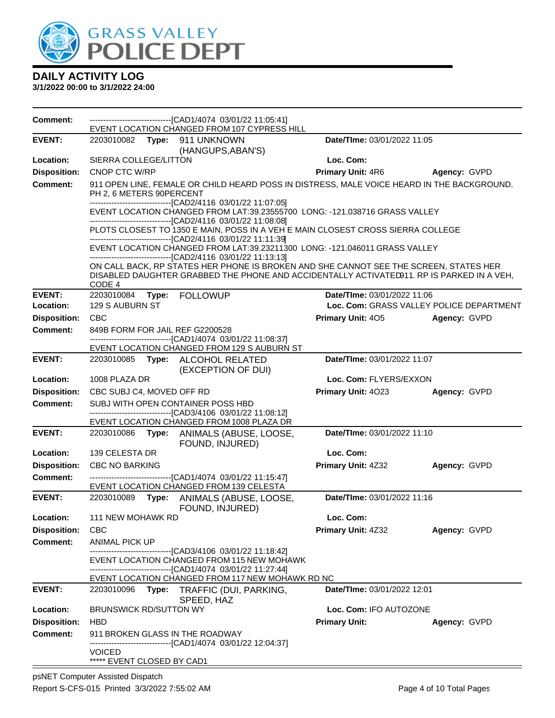

| <b>EVENT:</b><br>Date/TIme: 03/01/2022 11:05<br>2203010082 Type: 911 UNKNOWN<br>(HANGUPS, ABAN'S)<br>Location:<br>Loc. Com:<br>SIERRA COLLEGE/LITTON<br><b>Disposition:</b><br>CNOP CTC W/RP<br><b>Primary Unit: 4R6</b><br>Agency: GVPD<br><b>Comment:</b><br>911 OPEN LINE, FEMALE OR CHILD HEARD POSS IN DISTRESS, MALE VOICE HEARD IN THE BACKGROUND.<br>PH 2, 6 METERS 90PERCENT<br>-------------------------------[CAD2/4116 03/01/22 11:07:05]<br>EVENT LOCATION CHANGED FROM LAT:39.23555700 LONG: -121.038716 GRASS VALLEY<br>--------------------------------[CAD2/4116 03/01/22 11:08:08]<br>PLOTS CLOSEST TO 1350 E MAIN, POSS IN A VEH E MAIN CLOSEST CROSS SIERRA COLLEGE<br>------------------------------[CAD2/4116 03/01/22 11:11:39]<br>EVENT LOCATION CHANGED FROM LAT:39.23211300 LONG: -121.046011 GRASS VALLEY<br>-------------------------------[CAD2/4116 03/01/22 11:13:13]<br>ON CALL BACK, RP STATES HER PHONE IS BROKEN AND SHE CANNOT SEE THE SCREEN, STATES HER<br>DISABLED DAUGHTER GRABBED THE PHONE AND ACCIDENTALLY ACTIVATED911. RP IS PARKED IN A VEH,<br>CODE 4<br><b>EVENT:</b><br>2203010084 Type: FOLLOWUP<br>Date/TIme: 03/01/2022 11:06<br>129 S AUBURN ST<br>Loc. Com: GRASS VALLEY POLICE DEPARTMENT<br>Location:<br><b>Disposition:</b><br><b>Primary Unit: 405</b><br><b>CBC</b><br>Agency: GVPD<br><b>Comment:</b><br>849B FORM FOR JAIL REF G2200528<br>-------------------------------[CAD1/4074_03/01/22 11:08:37]<br>EVENT LOCATION CHANGED FROM 129 S AUBURN ST<br><b>EVENT:</b><br>Date/TIme: 03/01/2022 11:07<br>2203010085 Type: ALCOHOL RELATED<br>(EXCEPTION OF DUI)<br>Location:<br>1008 PLAZA DR<br>Loc. Com: FLYERS/EXXON<br><b>Disposition:</b><br>Primary Unit: 4023<br>CBC SUBJ C4, MOVED OFF RD<br>Agency: GVPD<br><b>Comment:</b><br>SUBJ WITH OPEN CONTAINER POSS HBD<br>-------------------------------[CAD3/4106 03/01/22 11:08:12]<br>EVENT LOCATION CHANGED FROM 1008 PLAZA DR<br><b>EVENT:</b><br>2203010086 Type: ANIMALS (ABUSE, LOOSE,<br>Date/TIme: 03/01/2022 11:10<br>FOUND, INJURED)<br>Location:<br>Loc. Com:<br>139 CELESTA DR<br><b>Disposition:</b><br><b>CBC NO BARKING</b><br>Primary Unit: 4Z32<br>Agency: GVPD<br><b>Comment:</b><br>-------------------------------[CAD1/4074 03/01/22 11:15:47]<br>EVENT LOCATION CHANGED FROM 139 CELESTA<br>Date/TIme: 03/01/2022 11:16<br><b>EVENT:</b><br>2203010089 Type: ANIMALS (ABUSE, LOOSE,<br>FOUND, INJURED)<br>111 NEW MOHAWK RD<br>Loc. Com:<br><b>Location:</b><br><b>Disposition:</b><br><b>CBC</b><br><b>Primary Unit: 4Z32</b><br>Agency: GVPD<br>Comment:<br>ANIMAL PICK UP<br>-------------------------------[CAD3/4106_03/01/22 11:18:42]<br>EVENT LOCATION CHANGED FROM 115 NEW MOHAWK<br>------------------------------[CAD1/4074_03/01/22 11:27:44]<br>EVENT LOCATION CHANGED FROM 117 NEW MOHAWK RD NC<br><b>EVENT:</b><br>Date/TIme: 03/01/2022 12:01<br>2203010096 Type: TRAFFIC (DUI, PARKING,<br>SPEED, HAZ<br>Location:<br>BRUNSWICK RD/SUTTON WY<br>Loc. Com: IFO AUTOZONE<br><b>Disposition:</b><br><b>HBD</b><br><b>Primary Unit:</b><br>Agency: GVPD<br><b>Comment:</b><br>911 BROKEN GLASS IN THE ROADWAY<br>------------------------[CAD1/4074_03/01/22 12:04:37] | <b>Comment:</b> | ---------------------------------[CAD1/4074 03/01/22 11:05:41] | EVENT LOCATION CHANGED FROM 107 CYPRESS HILL |  |
|-------------------------------------------------------------------------------------------------------------------------------------------------------------------------------------------------------------------------------------------------------------------------------------------------------------------------------------------------------------------------------------------------------------------------------------------------------------------------------------------------------------------------------------------------------------------------------------------------------------------------------------------------------------------------------------------------------------------------------------------------------------------------------------------------------------------------------------------------------------------------------------------------------------------------------------------------------------------------------------------------------------------------------------------------------------------------------------------------------------------------------------------------------------------------------------------------------------------------------------------------------------------------------------------------------------------------------------------------------------------------------------------------------------------------------------------------------------------------------------------------------------------------------------------------------------------------------------------------------------------------------------------------------------------------------------------------------------------------------------------------------------------------------------------------------------------------------------------------------------------------------------------------------------------------------------------------------------------------------------------------------------------------------------------------------------------------------------------------------------------------------------------------------------------------------------------------------------------------------------------------------------------------------------------------------------------------------------------------------------------------------------------------------------------------------------------------------------------------------------------------------------------------------------------------------------------------------------------------------------------------------------------------------------------------------------------------------------------------------------------------------------------------------------------------------------------------------------------------------------------------------------------------------------------------------------------------------------------------------------------------------------------------------------------------------------------------------------------------------------------------------------------------------------------------------------------------------------------------------|-----------------|----------------------------------------------------------------|----------------------------------------------|--|
|                                                                                                                                                                                                                                                                                                                                                                                                                                                                                                                                                                                                                                                                                                                                                                                                                                                                                                                                                                                                                                                                                                                                                                                                                                                                                                                                                                                                                                                                                                                                                                                                                                                                                                                                                                                                                                                                                                                                                                                                                                                                                                                                                                                                                                                                                                                                                                                                                                                                                                                                                                                                                                                                                                                                                                                                                                                                                                                                                                                                                                                                                                                                                                                                                               |                 |                                                                |                                              |  |
|                                                                                                                                                                                                                                                                                                                                                                                                                                                                                                                                                                                                                                                                                                                                                                                                                                                                                                                                                                                                                                                                                                                                                                                                                                                                                                                                                                                                                                                                                                                                                                                                                                                                                                                                                                                                                                                                                                                                                                                                                                                                                                                                                                                                                                                                                                                                                                                                                                                                                                                                                                                                                                                                                                                                                                                                                                                                                                                                                                                                                                                                                                                                                                                                                               |                 |                                                                |                                              |  |
|                                                                                                                                                                                                                                                                                                                                                                                                                                                                                                                                                                                                                                                                                                                                                                                                                                                                                                                                                                                                                                                                                                                                                                                                                                                                                                                                                                                                                                                                                                                                                                                                                                                                                                                                                                                                                                                                                                                                                                                                                                                                                                                                                                                                                                                                                                                                                                                                                                                                                                                                                                                                                                                                                                                                                                                                                                                                                                                                                                                                                                                                                                                                                                                                                               |                 |                                                                |                                              |  |
|                                                                                                                                                                                                                                                                                                                                                                                                                                                                                                                                                                                                                                                                                                                                                                                                                                                                                                                                                                                                                                                                                                                                                                                                                                                                                                                                                                                                                                                                                                                                                                                                                                                                                                                                                                                                                                                                                                                                                                                                                                                                                                                                                                                                                                                                                                                                                                                                                                                                                                                                                                                                                                                                                                                                                                                                                                                                                                                                                                                                                                                                                                                                                                                                                               |                 |                                                                |                                              |  |
|                                                                                                                                                                                                                                                                                                                                                                                                                                                                                                                                                                                                                                                                                                                                                                                                                                                                                                                                                                                                                                                                                                                                                                                                                                                                                                                                                                                                                                                                                                                                                                                                                                                                                                                                                                                                                                                                                                                                                                                                                                                                                                                                                                                                                                                                                                                                                                                                                                                                                                                                                                                                                                                                                                                                                                                                                                                                                                                                                                                                                                                                                                                                                                                                                               |                 |                                                                |                                              |  |
|                                                                                                                                                                                                                                                                                                                                                                                                                                                                                                                                                                                                                                                                                                                                                                                                                                                                                                                                                                                                                                                                                                                                                                                                                                                                                                                                                                                                                                                                                                                                                                                                                                                                                                                                                                                                                                                                                                                                                                                                                                                                                                                                                                                                                                                                                                                                                                                                                                                                                                                                                                                                                                                                                                                                                                                                                                                                                                                                                                                                                                                                                                                                                                                                                               |                 |                                                                |                                              |  |
|                                                                                                                                                                                                                                                                                                                                                                                                                                                                                                                                                                                                                                                                                                                                                                                                                                                                                                                                                                                                                                                                                                                                                                                                                                                                                                                                                                                                                                                                                                                                                                                                                                                                                                                                                                                                                                                                                                                                                                                                                                                                                                                                                                                                                                                                                                                                                                                                                                                                                                                                                                                                                                                                                                                                                                                                                                                                                                                                                                                                                                                                                                                                                                                                                               |                 |                                                                |                                              |  |
|                                                                                                                                                                                                                                                                                                                                                                                                                                                                                                                                                                                                                                                                                                                                                                                                                                                                                                                                                                                                                                                                                                                                                                                                                                                                                                                                                                                                                                                                                                                                                                                                                                                                                                                                                                                                                                                                                                                                                                                                                                                                                                                                                                                                                                                                                                                                                                                                                                                                                                                                                                                                                                                                                                                                                                                                                                                                                                                                                                                                                                                                                                                                                                                                                               |                 |                                                                |                                              |  |
|                                                                                                                                                                                                                                                                                                                                                                                                                                                                                                                                                                                                                                                                                                                                                                                                                                                                                                                                                                                                                                                                                                                                                                                                                                                                                                                                                                                                                                                                                                                                                                                                                                                                                                                                                                                                                                                                                                                                                                                                                                                                                                                                                                                                                                                                                                                                                                                                                                                                                                                                                                                                                                                                                                                                                                                                                                                                                                                                                                                                                                                                                                                                                                                                                               |                 |                                                                |                                              |  |
|                                                                                                                                                                                                                                                                                                                                                                                                                                                                                                                                                                                                                                                                                                                                                                                                                                                                                                                                                                                                                                                                                                                                                                                                                                                                                                                                                                                                                                                                                                                                                                                                                                                                                                                                                                                                                                                                                                                                                                                                                                                                                                                                                                                                                                                                                                                                                                                                                                                                                                                                                                                                                                                                                                                                                                                                                                                                                                                                                                                                                                                                                                                                                                                                                               |                 |                                                                |                                              |  |
|                                                                                                                                                                                                                                                                                                                                                                                                                                                                                                                                                                                                                                                                                                                                                                                                                                                                                                                                                                                                                                                                                                                                                                                                                                                                                                                                                                                                                                                                                                                                                                                                                                                                                                                                                                                                                                                                                                                                                                                                                                                                                                                                                                                                                                                                                                                                                                                                                                                                                                                                                                                                                                                                                                                                                                                                                                                                                                                                                                                                                                                                                                                                                                                                                               |                 |                                                                |                                              |  |
|                                                                                                                                                                                                                                                                                                                                                                                                                                                                                                                                                                                                                                                                                                                                                                                                                                                                                                                                                                                                                                                                                                                                                                                                                                                                                                                                                                                                                                                                                                                                                                                                                                                                                                                                                                                                                                                                                                                                                                                                                                                                                                                                                                                                                                                                                                                                                                                                                                                                                                                                                                                                                                                                                                                                                                                                                                                                                                                                                                                                                                                                                                                                                                                                                               |                 |                                                                |                                              |  |
|                                                                                                                                                                                                                                                                                                                                                                                                                                                                                                                                                                                                                                                                                                                                                                                                                                                                                                                                                                                                                                                                                                                                                                                                                                                                                                                                                                                                                                                                                                                                                                                                                                                                                                                                                                                                                                                                                                                                                                                                                                                                                                                                                                                                                                                                                                                                                                                                                                                                                                                                                                                                                                                                                                                                                                                                                                                                                                                                                                                                                                                                                                                                                                                                                               |                 |                                                                |                                              |  |
|                                                                                                                                                                                                                                                                                                                                                                                                                                                                                                                                                                                                                                                                                                                                                                                                                                                                                                                                                                                                                                                                                                                                                                                                                                                                                                                                                                                                                                                                                                                                                                                                                                                                                                                                                                                                                                                                                                                                                                                                                                                                                                                                                                                                                                                                                                                                                                                                                                                                                                                                                                                                                                                                                                                                                                                                                                                                                                                                                                                                                                                                                                                                                                                                                               |                 |                                                                |                                              |  |
|                                                                                                                                                                                                                                                                                                                                                                                                                                                                                                                                                                                                                                                                                                                                                                                                                                                                                                                                                                                                                                                                                                                                                                                                                                                                                                                                                                                                                                                                                                                                                                                                                                                                                                                                                                                                                                                                                                                                                                                                                                                                                                                                                                                                                                                                                                                                                                                                                                                                                                                                                                                                                                                                                                                                                                                                                                                                                                                                                                                                                                                                                                                                                                                                                               |                 |                                                                |                                              |  |
|                                                                                                                                                                                                                                                                                                                                                                                                                                                                                                                                                                                                                                                                                                                                                                                                                                                                                                                                                                                                                                                                                                                                                                                                                                                                                                                                                                                                                                                                                                                                                                                                                                                                                                                                                                                                                                                                                                                                                                                                                                                                                                                                                                                                                                                                                                                                                                                                                                                                                                                                                                                                                                                                                                                                                                                                                                                                                                                                                                                                                                                                                                                                                                                                                               |                 |                                                                |                                              |  |
|                                                                                                                                                                                                                                                                                                                                                                                                                                                                                                                                                                                                                                                                                                                                                                                                                                                                                                                                                                                                                                                                                                                                                                                                                                                                                                                                                                                                                                                                                                                                                                                                                                                                                                                                                                                                                                                                                                                                                                                                                                                                                                                                                                                                                                                                                                                                                                                                                                                                                                                                                                                                                                                                                                                                                                                                                                                                                                                                                                                                                                                                                                                                                                                                                               |                 |                                                                |                                              |  |
|                                                                                                                                                                                                                                                                                                                                                                                                                                                                                                                                                                                                                                                                                                                                                                                                                                                                                                                                                                                                                                                                                                                                                                                                                                                                                                                                                                                                                                                                                                                                                                                                                                                                                                                                                                                                                                                                                                                                                                                                                                                                                                                                                                                                                                                                                                                                                                                                                                                                                                                                                                                                                                                                                                                                                                                                                                                                                                                                                                                                                                                                                                                                                                                                                               |                 |                                                                |                                              |  |
|                                                                                                                                                                                                                                                                                                                                                                                                                                                                                                                                                                                                                                                                                                                                                                                                                                                                                                                                                                                                                                                                                                                                                                                                                                                                                                                                                                                                                                                                                                                                                                                                                                                                                                                                                                                                                                                                                                                                                                                                                                                                                                                                                                                                                                                                                                                                                                                                                                                                                                                                                                                                                                                                                                                                                                                                                                                                                                                                                                                                                                                                                                                                                                                                                               |                 |                                                                |                                              |  |
|                                                                                                                                                                                                                                                                                                                                                                                                                                                                                                                                                                                                                                                                                                                                                                                                                                                                                                                                                                                                                                                                                                                                                                                                                                                                                                                                                                                                                                                                                                                                                                                                                                                                                                                                                                                                                                                                                                                                                                                                                                                                                                                                                                                                                                                                                                                                                                                                                                                                                                                                                                                                                                                                                                                                                                                                                                                                                                                                                                                                                                                                                                                                                                                                                               |                 |                                                                |                                              |  |
|                                                                                                                                                                                                                                                                                                                                                                                                                                                                                                                                                                                                                                                                                                                                                                                                                                                                                                                                                                                                                                                                                                                                                                                                                                                                                                                                                                                                                                                                                                                                                                                                                                                                                                                                                                                                                                                                                                                                                                                                                                                                                                                                                                                                                                                                                                                                                                                                                                                                                                                                                                                                                                                                                                                                                                                                                                                                                                                                                                                                                                                                                                                                                                                                                               |                 |                                                                |                                              |  |
|                                                                                                                                                                                                                                                                                                                                                                                                                                                                                                                                                                                                                                                                                                                                                                                                                                                                                                                                                                                                                                                                                                                                                                                                                                                                                                                                                                                                                                                                                                                                                                                                                                                                                                                                                                                                                                                                                                                                                                                                                                                                                                                                                                                                                                                                                                                                                                                                                                                                                                                                                                                                                                                                                                                                                                                                                                                                                                                                                                                                                                                                                                                                                                                                                               |                 |                                                                |                                              |  |
|                                                                                                                                                                                                                                                                                                                                                                                                                                                                                                                                                                                                                                                                                                                                                                                                                                                                                                                                                                                                                                                                                                                                                                                                                                                                                                                                                                                                                                                                                                                                                                                                                                                                                                                                                                                                                                                                                                                                                                                                                                                                                                                                                                                                                                                                                                                                                                                                                                                                                                                                                                                                                                                                                                                                                                                                                                                                                                                                                                                                                                                                                                                                                                                                                               |                 |                                                                |                                              |  |
|                                                                                                                                                                                                                                                                                                                                                                                                                                                                                                                                                                                                                                                                                                                                                                                                                                                                                                                                                                                                                                                                                                                                                                                                                                                                                                                                                                                                                                                                                                                                                                                                                                                                                                                                                                                                                                                                                                                                                                                                                                                                                                                                                                                                                                                                                                                                                                                                                                                                                                                                                                                                                                                                                                                                                                                                                                                                                                                                                                                                                                                                                                                                                                                                                               |                 |                                                                |                                              |  |
|                                                                                                                                                                                                                                                                                                                                                                                                                                                                                                                                                                                                                                                                                                                                                                                                                                                                                                                                                                                                                                                                                                                                                                                                                                                                                                                                                                                                                                                                                                                                                                                                                                                                                                                                                                                                                                                                                                                                                                                                                                                                                                                                                                                                                                                                                                                                                                                                                                                                                                                                                                                                                                                                                                                                                                                                                                                                                                                                                                                                                                                                                                                                                                                                                               |                 |                                                                |                                              |  |
|                                                                                                                                                                                                                                                                                                                                                                                                                                                                                                                                                                                                                                                                                                                                                                                                                                                                                                                                                                                                                                                                                                                                                                                                                                                                                                                                                                                                                                                                                                                                                                                                                                                                                                                                                                                                                                                                                                                                                                                                                                                                                                                                                                                                                                                                                                                                                                                                                                                                                                                                                                                                                                                                                                                                                                                                                                                                                                                                                                                                                                                                                                                                                                                                                               |                 |                                                                |                                              |  |
|                                                                                                                                                                                                                                                                                                                                                                                                                                                                                                                                                                                                                                                                                                                                                                                                                                                                                                                                                                                                                                                                                                                                                                                                                                                                                                                                                                                                                                                                                                                                                                                                                                                                                                                                                                                                                                                                                                                                                                                                                                                                                                                                                                                                                                                                                                                                                                                                                                                                                                                                                                                                                                                                                                                                                                                                                                                                                                                                                                                                                                                                                                                                                                                                                               |                 |                                                                |                                              |  |
|                                                                                                                                                                                                                                                                                                                                                                                                                                                                                                                                                                                                                                                                                                                                                                                                                                                                                                                                                                                                                                                                                                                                                                                                                                                                                                                                                                                                                                                                                                                                                                                                                                                                                                                                                                                                                                                                                                                                                                                                                                                                                                                                                                                                                                                                                                                                                                                                                                                                                                                                                                                                                                                                                                                                                                                                                                                                                                                                                                                                                                                                                                                                                                                                                               |                 |                                                                |                                              |  |
|                                                                                                                                                                                                                                                                                                                                                                                                                                                                                                                                                                                                                                                                                                                                                                                                                                                                                                                                                                                                                                                                                                                                                                                                                                                                                                                                                                                                                                                                                                                                                                                                                                                                                                                                                                                                                                                                                                                                                                                                                                                                                                                                                                                                                                                                                                                                                                                                                                                                                                                                                                                                                                                                                                                                                                                                                                                                                                                                                                                                                                                                                                                                                                                                                               |                 |                                                                |                                              |  |
|                                                                                                                                                                                                                                                                                                                                                                                                                                                                                                                                                                                                                                                                                                                                                                                                                                                                                                                                                                                                                                                                                                                                                                                                                                                                                                                                                                                                                                                                                                                                                                                                                                                                                                                                                                                                                                                                                                                                                                                                                                                                                                                                                                                                                                                                                                                                                                                                                                                                                                                                                                                                                                                                                                                                                                                                                                                                                                                                                                                                                                                                                                                                                                                                                               |                 |                                                                |                                              |  |
|                                                                                                                                                                                                                                                                                                                                                                                                                                                                                                                                                                                                                                                                                                                                                                                                                                                                                                                                                                                                                                                                                                                                                                                                                                                                                                                                                                                                                                                                                                                                                                                                                                                                                                                                                                                                                                                                                                                                                                                                                                                                                                                                                                                                                                                                                                                                                                                                                                                                                                                                                                                                                                                                                                                                                                                                                                                                                                                                                                                                                                                                                                                                                                                                                               |                 |                                                                |                                              |  |
|                                                                                                                                                                                                                                                                                                                                                                                                                                                                                                                                                                                                                                                                                                                                                                                                                                                                                                                                                                                                                                                                                                                                                                                                                                                                                                                                                                                                                                                                                                                                                                                                                                                                                                                                                                                                                                                                                                                                                                                                                                                                                                                                                                                                                                                                                                                                                                                                                                                                                                                                                                                                                                                                                                                                                                                                                                                                                                                                                                                                                                                                                                                                                                                                                               |                 |                                                                |                                              |  |
|                                                                                                                                                                                                                                                                                                                                                                                                                                                                                                                                                                                                                                                                                                                                                                                                                                                                                                                                                                                                                                                                                                                                                                                                                                                                                                                                                                                                                                                                                                                                                                                                                                                                                                                                                                                                                                                                                                                                                                                                                                                                                                                                                                                                                                                                                                                                                                                                                                                                                                                                                                                                                                                                                                                                                                                                                                                                                                                                                                                                                                                                                                                                                                                                                               |                 | <b>VOICED</b>                                                  |                                              |  |
| ***** EVENT CLOSED BY CAD1                                                                                                                                                                                                                                                                                                                                                                                                                                                                                                                                                                                                                                                                                                                                                                                                                                                                                                                                                                                                                                                                                                                                                                                                                                                                                                                                                                                                                                                                                                                                                                                                                                                                                                                                                                                                                                                                                                                                                                                                                                                                                                                                                                                                                                                                                                                                                                                                                                                                                                                                                                                                                                                                                                                                                                                                                                                                                                                                                                                                                                                                                                                                                                                                    |                 |                                                                |                                              |  |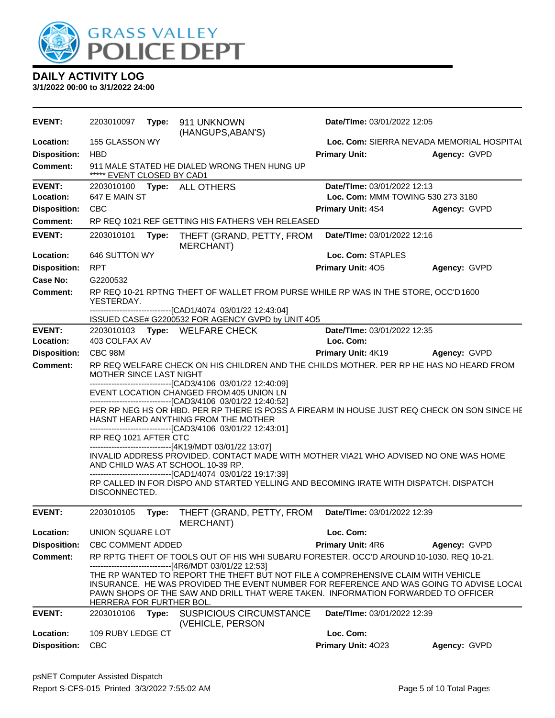

| <b>EVENT:</b>       | 2203010097                 |       | Type: 911 UNKNOWN<br>(HANGUPS, ABAN'S)                                                                                                                                                                                                                                                          | Date/TIme: 03/01/2022 12:05       |                                           |
|---------------------|----------------------------|-------|-------------------------------------------------------------------------------------------------------------------------------------------------------------------------------------------------------------------------------------------------------------------------------------------------|-----------------------------------|-------------------------------------------|
| Location:           | 155 GLASSON WY             |       |                                                                                                                                                                                                                                                                                                 |                                   | Loc. Com: SIERRA NEVADA MEMORIAL HOSPITAL |
| <b>Disposition:</b> | <b>HBD</b>                 |       |                                                                                                                                                                                                                                                                                                 | <b>Primary Unit:</b>              | Agency: GVPD                              |
| <b>Comment:</b>     | ***** EVENT CLOSED BY CAD1 |       | 911 MALE STATED HE DIALED WRONG THEN HUNG UP                                                                                                                                                                                                                                                    |                                   |                                           |
| <b>EVENT:</b>       |                            |       | 2203010100 Type: ALL OTHERS                                                                                                                                                                                                                                                                     | Date/TIme: 03/01/2022 12:13       |                                           |
| Location:           | 647 E MAIN ST              |       |                                                                                                                                                                                                                                                                                                 | Loc. Com: MMM TOWING 530 273 3180 |                                           |
| <b>Disposition:</b> | CBC                        |       |                                                                                                                                                                                                                                                                                                 | <b>Primary Unit: 4S4</b>          | Agency: GVPD                              |
| <b>Comment:</b>     |                            |       | RP REQ 1021 REF GETTING HIS FATHERS VEH RELEASED                                                                                                                                                                                                                                                |                                   |                                           |
| <b>EVENT:</b>       | 2203010101                 | Type: | THEFT (GRAND, PETTY, FROM<br><b>MERCHANT)</b>                                                                                                                                                                                                                                                   | Date/TIme: 03/01/2022 12:16       |                                           |
| Location:           | 646 SUTTON WY              |       |                                                                                                                                                                                                                                                                                                 | Loc. Com: STAPLES                 |                                           |
| <b>Disposition:</b> | <b>RPT</b>                 |       |                                                                                                                                                                                                                                                                                                 | Primary Unit: 405                 | Agency: GVPD                              |
| <b>Case No:</b>     | G2200532                   |       |                                                                                                                                                                                                                                                                                                 |                                   |                                           |
| <b>Comment:</b>     | YESTERDAY.                 |       | RP REQ 10-21 RPTNG THEFT OF WALLET FROM PURSE WHILE RP WAS IN THE STORE, OCC'D1600                                                                                                                                                                                                              |                                   |                                           |
|                     |                            |       | -------------------------------[CAD1/4074 03/01/22 12:43:04]<br>ISSUED CASE# G2200532 FOR AGENCY GVPD by UNIT 4O5                                                                                                                                                                               |                                   |                                           |
| <b>EVENT:</b>       |                            |       | 2203010103 Type: WELFARE CHECK                                                                                                                                                                                                                                                                  | Date/TIme: 03/01/2022 12:35       |                                           |
| Location:           | 403 COLFAX AV              |       |                                                                                                                                                                                                                                                                                                 | Loc. Com:                         |                                           |
| <b>Disposition:</b> | CBC 98M                    |       |                                                                                                                                                                                                                                                                                                 | <b>Primary Unit: 4K19</b>         | Agency: GVPD                              |
| <b>Comment:</b>     | MOTHER SINCE LAST NIGHT    |       | RP REQ WELFARE CHECK ON HIS CHILDREN AND THE CHILDS MOTHER. PER RP HE HAS NO HEARD FROM                                                                                                                                                                                                         |                                   |                                           |
|                     |                            |       | -------------------------------[CAD3/4106 03/01/22 12:40:09]<br>EVENT LOCATION CHANGED FROM 405 UNION LN<br>------------------------------[CAD3/4106 03/01/22 12:40:52]<br>PER RP NEG HS OR HBD. PER RP THERE IS POSS A FIREARM IN HOUSE JUST REQ CHECK ON SON SINCE HE                         |                                   |                                           |
|                     | RP REQ 1021 AFTER CTC      |       | HASNT HEARD ANYTHING FROM THE MOTHER<br>-------------------------------[CAD3/4106 03/01/22 12:43:01]                                                                                                                                                                                            |                                   |                                           |
|                     |                            |       | ------------------------------[4K19/MDT 03/01/22 13:07]<br>INVALID ADDRESS PROVIDED. CONTACT MADE WITH MOTHER VIA21 WHO ADVISED NO ONE WAS HOME<br>AND CHILD WAS AT SCHOOL. 10-39 RP.<br>-------------------------------[CAD1/4074 03/01/22 19:17:39]                                           |                                   |                                           |
|                     | DISCONNECTED.              |       | RP CALLED IN FOR DISPO AND STARTED YELLING AND BECOMING IRATE WITH DISPATCH. DISPATCH                                                                                                                                                                                                           |                                   |                                           |
| <b>EVENT:</b>       | 2203010105                 | Type: | THEFT (GRAND, PETTY, FROM<br>MERCHANT)                                                                                                                                                                                                                                                          | Date/TIme: 03/01/2022 12:39       |                                           |
| Location:           | UNION SQUARE LOT           |       |                                                                                                                                                                                                                                                                                                 | Loc. Com:                         |                                           |
| <b>Disposition:</b> | <b>CBC COMMENT ADDED</b>   |       |                                                                                                                                                                                                                                                                                                 | Primary Unit: 4R6                 | Agency: GVPD                              |
| <b>Comment:</b>     |                            |       | RP RPTG THEFT OF TOOLS OUT OF HIS WHI SUBARU FORESTER. OCC'D AROUND 10-1030. REQ 10-21.                                                                                                                                                                                                         |                                   |                                           |
|                     | HERRERA FOR FURTHER BOL.   |       | --[4R6/MDT 03/01/22 12:53]<br>THE RP WANTED TO REPORT THE THEFT BUT NOT FILE A COMPREHENSIVE CLAIM WITH VEHICLE<br>INSURANCE. HE WAS PROVIDED THE EVENT NUMBER FOR REFERENCE AND WAS GOING TO ADVISE LOCAL<br>PAWN SHOPS OF THE SAW AND DRILL THAT WERE TAKEN. INFORMATION FORWARDED TO OFFICER |                                   |                                           |
| <b>EVENT:</b>       | 2203010106                 | Type: | <b>SUSPICIOUS CIRCUMSTANCE</b><br>(VEHICLE, PERSON                                                                                                                                                                                                                                              | Date/TIme: 03/01/2022 12:39       |                                           |
| Location:           | 109 RUBY LEDGE CT          |       |                                                                                                                                                                                                                                                                                                 | Loc. Com:                         |                                           |
| <b>Disposition:</b> | <b>CBC</b>                 |       |                                                                                                                                                                                                                                                                                                 | Primary Unit: 4023                | Agency: GVPD                              |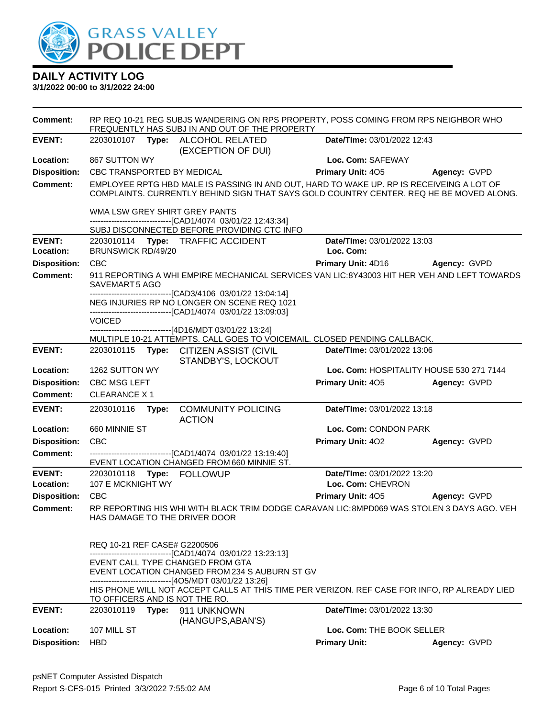

**3/1/2022 00:00 to 3/1/2022 24:00**

**Comment:** RP REQ 10-21 REG SUBJS WANDERING ON RPS PROPERTY, POSS COMING FROM RPS NEIGHBOR WHO FREQUENTLY HAS SUBJ IN AND OUT OF THE PROPERTY **EVENT:** 2203010107 **Type:** ALCOHOL RELATED (EXCEPTION OF DUI) **Date/TIme:** 03/01/2022 12:43 **Location:** 867 SUTTON WY **Loc. Com:** SAFEWAY **Disposition:** CBC TRANSPORTED BY MEDICAL **Primary Unit:** 4O5 **Agency:** GVPD **Comment:** EMPLOYEE RPTG HBD MALE IS PASSING IN AND OUT, HARD TO WAKE UP. RP IS RECEIVEING A LOT OF COMPLAINTS. CURRENTLY BEHIND SIGN THAT SAYS GOLD COUNTRY CENTER. REQ HE BE MOVED ALONG. WMA LSW GREY SHIRT GREY PANTS ------------------------------[CAD1/4074 03/01/22 12:43:34] SUBJ DISCONNECTED BEFORE PROVIDING CTC INFO **EVENT:** 2203010114 **Type:** TRAFFIC ACCIDENT **Date/TIme:** 03/01/2022 13:03 **Location:** BRUNSWICK RD/49/20 **Loc. Com: Disposition:** CBC **Primary Unit:** 4D16 **Agency:** GVPD **Comment:** 911 REPORTING A WHI EMPIRE MECHANICAL SERVICES VAN LIC: 8Y43003 HIT HER VEH AND LEFT TOWARDS SAVEMART 5 AGO -- [CAD3/4106 03/01/22 13:04:14] NEG INJURIES RP NO LONGER ON SCENE REQ 1021 ------------------------------[CAD1/4074 03/01/22 13:09:03] VOICED ------------------------------[4D16/MDT 03/01/22 13:24] MULTIPLE 10-21 ATTEMPTS. CALL GOES TO VOICEMAIL. CLOSED PENDING CALLBACK. **EVENT:** 2203010115 **Type:** CITIZEN ASSIST (CIVIL STANDBY'S, LOCKOUT **Date/TIme:** 03/01/2022 13:06 **Location:** 1262 SUTTON WY **Loc. Com:** HOSPITALITY HOUSE 530 271 7144 **Disposition:** CBC MSG LEFT **Primary Unit:** 4O5 **Agency:** GVPD **Comment:** CLEARANCE X 1 **EVENT:** 2203010116 **Type:** COMMUNITY POLICING ACTION **Date/TIme:** 03/01/2022 13:18 **Location:** 660 MINNIE ST **Loc. Com:** CONDON PARK **Disposition:** CBC **Primary Unit:** 4O2 **Agency:** GVPD **Comment:** ------------------------------[CAD1/4074 03/01/22 13:19:40] EVENT LOCATION CHANGED FROM 660 MINNIE ST. **EVENT:** 2203010118 **Type:** FOLLOWUP **Date/TIme:** 03/01/2022 13:20 **Location:** 107 E MCKNIGHT WY **Loc. Com:** CHEVRON **Disposition:** CBC **Primary Unit:** 4O5 **Agency:** GVPD **Comment:** RP REPORTING HIS WHI WITH BLACK TRIM DODGE CARAVAN LIC: 8MPD069 WAS STOLEN 3 DAYS AGO. VEH HAS DAMAGE TO THE DRIVER DOOR REQ 10-21 REF CASE# G2200506 ------------------------------[CAD1/4074 03/01/22 13:23:13] EVENT CALL TYPE CHANGED FROM GTA EVENT LOCATION CHANGED FROM 234 S AUBURN ST GV ------------------------------[4O5/MDT 03/01/22 13:26] HIS PHONE WILL NOT ACCEPT CALLS AT THIS TIME PER VERIZON. REF CASE FOR INFO, RP ALREADY LIED TO OFFICERS AND IS NOT THE RO. **EVENT:** 2203010119 **Type:** 911 UNKNOWN (HANGUPS,ABAN'S) **Date/TIme:** 03/01/2022 13:30 **Location:** 107 MILL ST **Loc. Com:** THE BOOK SELLER **Disposition:** HBD **Primary Unit: Agency:** GVPD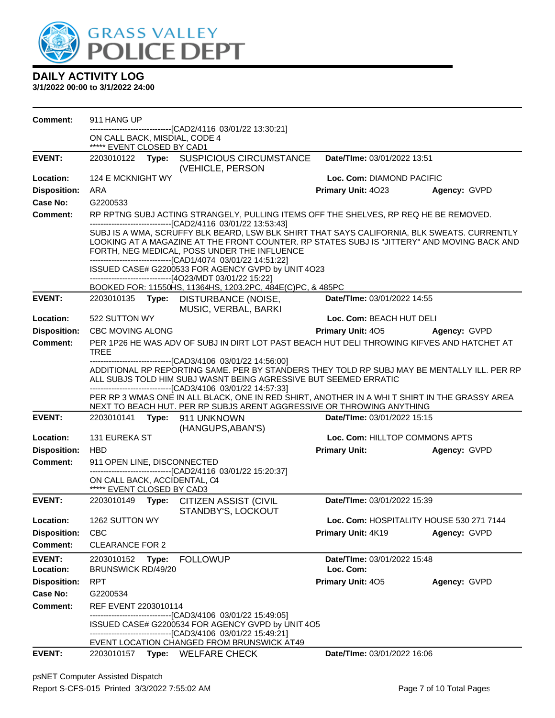

| <b>Comment:</b>            | 911 HANG UP                                                |                                                                                                                                                                                                                                                                                                                                                                                                   |                                          |              |
|----------------------------|------------------------------------------------------------|---------------------------------------------------------------------------------------------------------------------------------------------------------------------------------------------------------------------------------------------------------------------------------------------------------------------------------------------------------------------------------------------------|------------------------------------------|--------------|
|                            | ON CALL BACK, MISDIAL, CODE 4                              | -----------------------[CAD2/4116 03/01/22 13:30:21]                                                                                                                                                                                                                                                                                                                                              |                                          |              |
|                            | ***** EVENT CLOSED BY CAD1                                 |                                                                                                                                                                                                                                                                                                                                                                                                   |                                          |              |
| <b>EVENT:</b>              |                                                            | 2203010122 Type: SUSPICIOUS CIRCUMSTANCE<br>(VEHICLE, PERSON                                                                                                                                                                                                                                                                                                                                      | Date/TIme: 03/01/2022 13:51              |              |
| Location:                  | 124 E MCKNIGHT WY                                          |                                                                                                                                                                                                                                                                                                                                                                                                   | Loc. Com: DIAMOND PACIFIC                |              |
| <b>Disposition:</b>        | ARA                                                        |                                                                                                                                                                                                                                                                                                                                                                                                   | Primary Unit: 4023                       | Agency: GVPD |
| Case No:                   | G2200533                                                   |                                                                                                                                                                                                                                                                                                                                                                                                   |                                          |              |
| Comment:                   |                                                            | RP RPTNG SUBJ ACTING STRANGELY, PULLING ITEMS OFF THE SHELVES, RP REQ HE BE REMOVED.<br>---------------------------------[CAD2/4116 03/01/22 13:53:43]                                                                                                                                                                                                                                            |                                          |              |
|                            |                                                            | SUBJ IS A WMA, SCRUFFY BLK BEARD, LSW BLK SHIRT THAT SAYS CALIFORNIA, BLK SWEATS. CURRENTLY<br>LOOKING AT A MAGAZINE AT THE FRONT COUNTER. RP STATES SUBJ IS "JITTERY" AND MOVING BACK AND<br>FORTH, NEG MEDICAL, POSS UNDER THE INFLUENCE<br>------------------------------[CAD1/4074 03/01/22 14:51:22]                                                                                         |                                          |              |
|                            |                                                            | ISSUED CASE# G2200533 FOR AGENCY GVPD by UNIT 4O23<br>-------------------------------[4O23/MDT 03/01/22 15:22]                                                                                                                                                                                                                                                                                    |                                          |              |
|                            |                                                            | BOOKED FOR: 11550HS, 11364HS, 1203.2PC, 484E(C)PC, & 485PC                                                                                                                                                                                                                                                                                                                                        |                                          |              |
| <b>EVENT:</b>              | 2203010135<br>Type:                                        | <b>DISTURBANCE (NOISE,</b><br>MUSIC, VERBAL, BARKI                                                                                                                                                                                                                                                                                                                                                | Date/TIme: 03/01/2022 14:55              |              |
| Location:                  | 522 SUTTON WY                                              |                                                                                                                                                                                                                                                                                                                                                                                                   | Loc. Com: BEACH HUT DELI                 |              |
| <b>Disposition:</b>        | CBC MOVING ALONG                                           |                                                                                                                                                                                                                                                                                                                                                                                                   | <b>Primary Unit: 405</b>                 | Agency: GVPD |
| <b>Comment:</b>            | <b>TREE</b>                                                | PER 1P26 HE WAS ADV OF SUBJ IN DIRT LOT PAST BEACH HUT DELI THROWING KIFVES AND HATCHET AT                                                                                                                                                                                                                                                                                                        |                                          |              |
|                            |                                                            | -------------------------------[CAD3/4106 03/01/22 14:56:00]<br>ADDITIONAL RP REPORTING SAME. PER BY STANDERS THEY TOLD RP SUBJ MAY BE MENTALLY ILL. PER RP<br>ALL SUBJS TOLD HIM SUBJ WASNT BEING AGRESSIVE BUT SEEMED ERRATIC<br>--------------------------------[CAD3/4106 03/01/22 14:57:33]<br>PER RP 3 WMAS ONE IN ALL BLACK, ONE IN RED SHIRT, ANOTHER IN A WHI T SHIRT IN THE GRASSY AREA |                                          |              |
|                            |                                                            | NEXT TO BEACH HUT. PER RP SUBJS ARENT AGGRESSIVE OR THROWING ANYTHING                                                                                                                                                                                                                                                                                                                             |                                          |              |
| <b>EVENT:</b>              | 2203010141<br>Type:                                        | 911 UNKNOWN<br>(HANGUPS, ABAN'S)                                                                                                                                                                                                                                                                                                                                                                  | Date/TIme: 03/01/2022 15:15              |              |
| Location:                  | <b>131 EUREKA ST</b>                                       |                                                                                                                                                                                                                                                                                                                                                                                                   | Loc. Com: HILLTOP COMMONS APTS           |              |
| <b>Disposition:</b>        | <b>HBD</b>                                                 |                                                                                                                                                                                                                                                                                                                                                                                                   | <b>Primary Unit:</b>                     | Agency: GVPD |
| <b>Comment:</b>            | 911 OPEN LINE, DISCONNECTED                                |                                                                                                                                                                                                                                                                                                                                                                                                   |                                          |              |
|                            | ON CALL BACK, ACCIDENTAL, C4<br>***** EVENT CLOSED BY CAD3 | --------------------------[CAD2/4116_03/01/22_15:20:37]                                                                                                                                                                                                                                                                                                                                           |                                          |              |
| <b>EVENT:</b>              |                                                            | 2203010149 Type: CITIZEN ASSIST (CIVIL<br>STANDBY'S, LOCKOUT                                                                                                                                                                                                                                                                                                                                      | Date/TIme: 03/01/2022 15:39              |              |
| Location:                  | 1262 SUTTON WY                                             |                                                                                                                                                                                                                                                                                                                                                                                                   | Loc. Com: HOSPITALITY HOUSE 530 271 7144 |              |
| <b>Disposition:</b>        | <b>CBC</b>                                                 |                                                                                                                                                                                                                                                                                                                                                                                                   | Primary Unit: 4K19                       | Agency: GVPD |
| Comment:                   | <b>CLEARANCE FOR 2</b>                                     |                                                                                                                                                                                                                                                                                                                                                                                                   |                                          |              |
| <b>EVENT:</b><br>Location: | 2203010152<br>Type:<br>BRUNSWICK RD/49/20                  | <b>FOLLOWUP</b>                                                                                                                                                                                                                                                                                                                                                                                   | Date/TIme: 03/01/2022 15:48<br>Loc. Com: |              |
| <b>Disposition:</b>        | <b>RPT</b>                                                 |                                                                                                                                                                                                                                                                                                                                                                                                   | Primary Unit: 405                        | Agency: GVPD |
| Case No:                   | G2200534                                                   |                                                                                                                                                                                                                                                                                                                                                                                                   |                                          |              |
| Comment:                   | REF EVENT 2203010114                                       |                                                                                                                                                                                                                                                                                                                                                                                                   |                                          |              |
|                            |                                                            | ------------------------[CAD3/4106 03/01/22 15:49:05]<br>ISSUED CASE# G2200534 FOR AGENCY GVPD by UNIT 4O5<br>------------------------------[CAD3/4106 03/01/22 15:49:21]                                                                                                                                                                                                                         |                                          |              |
| <b>EVENT:</b>              |                                                            | EVENT LOCATION CHANGED FROM BRUNSWICK AT49                                                                                                                                                                                                                                                                                                                                                        | Date/TIme: 03/01/2022 16:06              |              |
|                            |                                                            | 2203010157 Type: WELFARE CHECK                                                                                                                                                                                                                                                                                                                                                                    |                                          |              |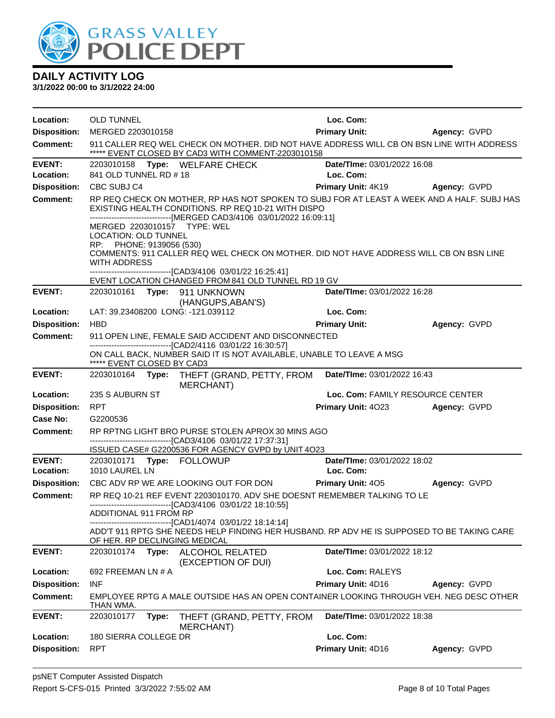

| Location:           | <b>OLD TUNNEL</b>                                                                                             |                                                                                                                                                                                                                                                                                                                                                                                       | Loc. Com:                              |              |
|---------------------|---------------------------------------------------------------------------------------------------------------|---------------------------------------------------------------------------------------------------------------------------------------------------------------------------------------------------------------------------------------------------------------------------------------------------------------------------------------------------------------------------------------|----------------------------------------|--------------|
| <b>Disposition:</b> | MERGED 2203010158                                                                                             |                                                                                                                                                                                                                                                                                                                                                                                       | <b>Primary Unit:</b>                   | Agency: GVPD |
| Comment:            |                                                                                                               | 911 CALLER REQ WEL CHECK ON MOTHER. DID NOT HAVE ADDRESS WILL CB ON BSN LINE WITH ADDRESS<br>***** EVENT CLOSED BY CAD3 WITH COMMENT-2203010158                                                                                                                                                                                                                                       |                                        |              |
| <b>EVENT:</b>       |                                                                                                               | 2203010158 Type: WELFARE CHECK                                                                                                                                                                                                                                                                                                                                                        | Date/TIme: 03/01/2022 16:08            |              |
| Location:           | 841 OLD TUNNEL RD # 18                                                                                        |                                                                                                                                                                                                                                                                                                                                                                                       | Loc. Com:                              |              |
| <b>Disposition:</b> | CBC SUBJ C4                                                                                                   |                                                                                                                                                                                                                                                                                                                                                                                       | Primary Unit: 4K19 Agency: GVPD        |              |
| <b>Comment:</b>     | MERGED 2203010157 TYPE: WEL<br><b>LOCATION: OLD TUNNEL</b><br>RP: PHONE: 9139056 (530)<br><b>WITH ADDRESS</b> | RP REQ CHECK ON MOTHER, RP HAS NOT SPOKEN TO SUBJ FOR AT LEAST A WEEK AND A HALF. SUBJ HAS<br>EXISTING HEALTH CONDITIONS. RP REQ 10-21 WITH DISPO<br>-------------------------------[MERGED CAD3/4106 03/01/2022 16:09:11]<br>COMMENTS: 911 CALLER REQ WEL CHECK ON MOTHER. DID NOT HAVE ADDRESS WILL CB ON BSN LINE<br>--------------------------------[CAD3/4106 03/01/22 16:25:41] |                                        |              |
|                     |                                                                                                               | EVENT LOCATION CHANGED FROM 841 OLD TUNNEL RD 19 GV                                                                                                                                                                                                                                                                                                                                   |                                        |              |
| <b>EVENT:</b>       | 2203010161 Type:                                                                                              | 911 UNKNOWN<br>(HANGUPS, ABAN'S)                                                                                                                                                                                                                                                                                                                                                      | Date/TIme: 03/01/2022 16:28            |              |
| Location:           | LAT: 39.23408200 LONG: -121.039112                                                                            |                                                                                                                                                                                                                                                                                                                                                                                       | Loc. Com:                              |              |
| <b>Disposition:</b> | <b>HBD</b>                                                                                                    |                                                                                                                                                                                                                                                                                                                                                                                       | <b>Primary Unit:</b>                   | Agency: GVPD |
| <b>Comment:</b>     |                                                                                                               | 911 OPEN LINE, FEMALE SAID ACCIDENT AND DISCONNECTED<br>---------------------------------[CAD2/4116 03/01/22 16:30:57]                                                                                                                                                                                                                                                                |                                        |              |
|                     | ***** EVENT CLOSED BY CAD3                                                                                    | ON CALL BACK, NUMBER SAID IT IS NOT AVAILABLE, UNABLE TO LEAVE A MSG                                                                                                                                                                                                                                                                                                                  |                                        |              |
| <b>EVENT:</b>       |                                                                                                               | 2203010164 Type: THEFT (GRAND, PETTY, FROM<br><b>MERCHANT)</b>                                                                                                                                                                                                                                                                                                                        | Date/TIme: 03/01/2022 16:43            |              |
| Location:           | 235 S AUBURN ST                                                                                               |                                                                                                                                                                                                                                                                                                                                                                                       | Loc. Com: FAMILY RESOURCE CENTER       |              |
| <b>Disposition:</b> | <b>RPT</b>                                                                                                    |                                                                                                                                                                                                                                                                                                                                                                                       | <b>Primary Unit: 4023 Agency: GVPD</b> |              |
| Case No:            | G2200536                                                                                                      |                                                                                                                                                                                                                                                                                                                                                                                       |                                        |              |
| <b>Comment:</b>     |                                                                                                               | RP RPTNG LIGHT BRO PURSE STOLEN APROX 30 MINS AGO<br>--------------------------------[CAD3/4106 03/01/22 17:37:31]                                                                                                                                                                                                                                                                    |                                        |              |
|                     |                                                                                                               | ISSUED CASE# G2200536 FOR AGENCY GVPD by UNIT 4O23                                                                                                                                                                                                                                                                                                                                    |                                        |              |
| <b>EVENT:</b>       | 2203010171 Type: FOLLOWUP                                                                                     |                                                                                                                                                                                                                                                                                                                                                                                       | Date/TIme: 03/01/2022 18:02            |              |
| Location:           | 1010 LAUREL LN                                                                                                |                                                                                                                                                                                                                                                                                                                                                                                       | Loc. Com:                              |              |
| <b>Disposition:</b> |                                                                                                               | CBC ADV RP WE ARE LOOKING OUT FOR DON                                                                                                                                                                                                                                                                                                                                                 | <b>Primary Unit: 405</b>               | Agency: GVPD |
| <b>Comment:</b>     | ADDITIONAL 911 FROM RP                                                                                        | RP REQ 10-21 REF EVENT 2203010170. ADV SHE DOESNT REMEMBER TALKING TO LE<br>-------------------------------[CAD3/4106 03/01/22 18:10:55]                                                                                                                                                                                                                                              |                                        |              |
|                     | OF HER. RP DECLINGING MEDICAL                                                                                 | ADD'T 911 RPTG SHE NEEDS HELP FINDING HER HUSBAND. RP ADV HE IS SUPPOSED TO BE TAKING CARE                                                                                                                                                                                                                                                                                            |                                        |              |
| <b>EVENT:</b>       | 2203010174<br>Type:                                                                                           | <b>ALCOHOL RELATED</b><br>(EXCEPTION OF DUI)                                                                                                                                                                                                                                                                                                                                          | Date/TIme: 03/01/2022 18:12            |              |
| Location:           | 692 FREEMAN LN # A                                                                                            |                                                                                                                                                                                                                                                                                                                                                                                       | Loc. Com: RALEYS                       |              |
| <b>Disposition:</b> | <b>INF</b>                                                                                                    |                                                                                                                                                                                                                                                                                                                                                                                       | Primary Unit: 4D16                     | Agency: GVPD |
| <b>Comment:</b>     | THAN WMA.                                                                                                     | EMPLOYEE RPTG A MALE OUTSIDE HAS AN OPEN CONTAINER LOOKING THROUGH VEH. NEG DESC OTHER                                                                                                                                                                                                                                                                                                |                                        |              |
| <b>EVENT:</b>       | 2203010177<br>Type:                                                                                           | THEFT (GRAND, PETTY, FROM<br>MERCHANT)                                                                                                                                                                                                                                                                                                                                                | Date/TIme: 03/01/2022 18:38            |              |
| Location:           | 180 SIERRA COLLEGE DR                                                                                         |                                                                                                                                                                                                                                                                                                                                                                                       | Loc. Com:                              |              |
| <b>Disposition:</b> | <b>RPT</b>                                                                                                    |                                                                                                                                                                                                                                                                                                                                                                                       | Primary Unit: 4D16                     | Agency: GVPD |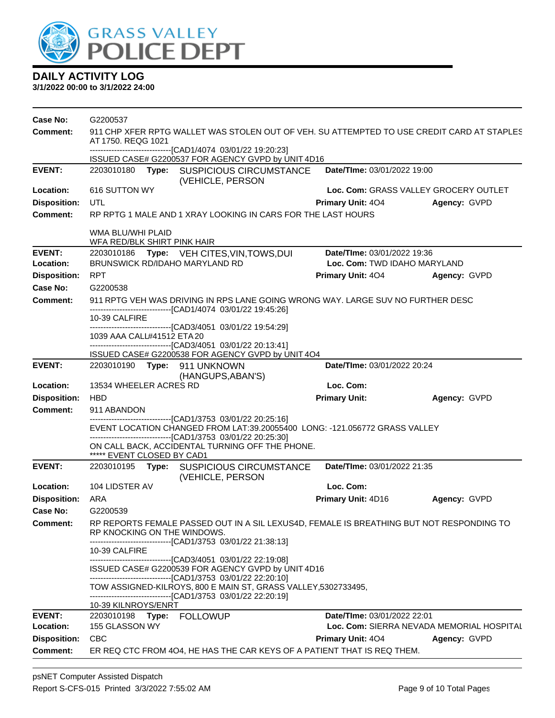

| Case No:                               | G2200537                                                                                                                                      |                                       |                                           |  |
|----------------------------------------|-----------------------------------------------------------------------------------------------------------------------------------------------|---------------------------------------|-------------------------------------------|--|
| Comment:                               | 911 CHP XFER RPTG WALLET WAS STOLEN OUT OF VEH. SU ATTEMPTED TO USE CREDIT CARD AT STAPLES<br>AT 1750. REQG 1021                              |                                       |                                           |  |
|                                        | -------------------------------[CAD1/4074_03/01/22 19:20:23]                                                                                  |                                       |                                           |  |
| <b>EVENT:</b>                          | ISSUED CASE# G2200537 FOR AGENCY GVPD by UNIT 4D16<br>2203010180<br>Type:<br><b>SUSPICIOUS CIRCUMSTANCE</b>                                   | Date/TIme: 03/01/2022 19:00           |                                           |  |
|                                        | (VEHICLE, PERSON                                                                                                                              |                                       |                                           |  |
| Location:                              | 616 SUTTON WY                                                                                                                                 | Loc. Com: GRASS VALLEY GROCERY OUTLET |                                           |  |
| <b>Disposition:</b>                    | UTL                                                                                                                                           | <b>Primary Unit: 404</b>              | Agency: GVPD                              |  |
| <b>Comment:</b>                        | RP RPTG 1 MALE AND 1 XRAY LOOKING IN CARS FOR THE LAST HOURS                                                                                  |                                       |                                           |  |
|                                        | WMA BLU/WHI PLAID<br>WFA RED/BLK SHIRT PINK HAIR                                                                                              |                                       |                                           |  |
| <b>EVENT:</b>                          | 2203010186 Type: VEH CITES, VIN, TOWS, DUI                                                                                                    | Date/TIme: 03/01/2022 19:36           |                                           |  |
| Location:                              | <b>BRUNSWICK RD/IDAHO MARYLAND RD</b>                                                                                                         | Loc. Com: TWD IDAHO MARYLAND          |                                           |  |
| <b>Disposition:</b>                    | <b>RPT</b>                                                                                                                                    | <b>Primary Unit: 404</b>              | Agency: GVPD                              |  |
| Case No:                               | G2200538                                                                                                                                      |                                       |                                           |  |
| Comment:                               | 911 RPTG VEH WAS DRIVING IN RPS LANE GOING WRONG WAY. LARGE SUV NO FURTHER DESC                                                               |                                       |                                           |  |
|                                        | ------------------------------[CAD1/4074 03/01/22 19:45:26]<br>10-39 CALFIRE                                                                  |                                       |                                           |  |
|                                        | ------------------------------[CAD3/4051_03/01/22 19:54:29]                                                                                   |                                       |                                           |  |
|                                        | 1039 AAA CALL#41512 ETA 20<br>-------------------------------[CAD3/4051 03/01/22 20:13:41]                                                    |                                       |                                           |  |
|                                        | ISSUED CASE# G2200538 FOR AGENCY GVPD by UNIT 4O4                                                                                             |                                       |                                           |  |
| <b>EVENT:</b>                          | 2203010190 Type: 911 UNKNOWN<br>(HANGUPS, ABAN'S)                                                                                             | Date/TIme: 03/01/2022 20:24           |                                           |  |
|                                        |                                                                                                                                               |                                       |                                           |  |
| Location:                              | 13534 WHEELER ACRES RD                                                                                                                        | Loc. Com:                             |                                           |  |
| <b>Disposition:</b>                    | <b>HBD</b>                                                                                                                                    | <b>Primary Unit:</b>                  | Agency: GVPD                              |  |
| <b>Comment:</b>                        | 911 ABANDON                                                                                                                                   |                                       |                                           |  |
|                                        | ------------------------[CAD1/3753_03/01/22 20:25:16]<br>EVENT LOCATION CHANGED FROM LAT:39.20055400 LONG: -121.056772 GRASS VALLEY           |                                       |                                           |  |
|                                        | -------------------------------[CAD1/3753 03/01/22 20:25:30]<br>ON CALL BACK, ACCIDENTAL TURNING OFF THE PHONE.<br>***** EVENT CLOSED BY CAD1 |                                       |                                           |  |
| <b>EVENT:</b>                          | <b>SUSPICIOUS CIRCUMSTANCE</b><br>2203010195<br>Type:                                                                                         | Date/TIme: 03/01/2022 21:35           |                                           |  |
| Location:                              | (VEHICLE, PERSON<br>104 LIDSTER AV                                                                                                            | Loc. Com:                             |                                           |  |
| <b>Disposition:</b>                    | ARA                                                                                                                                           | Primary Unit: 4D16                    | Agency: GVPD                              |  |
| Case No:                               | G2200539                                                                                                                                      |                                       |                                           |  |
| Comment:                               | RP REPORTS FEMALE PASSED OUT IN A SIL LEXUS4D, FEMALE IS BREATHING BUT NOT RESPONDING TO<br>RP KNOCKING ON THE WINDOWS.                       |                                       |                                           |  |
|                                        | --------------------------------[CAD1/3753 03/01/22 21:38:13]<br>10-39 CALFIRE                                                                |                                       |                                           |  |
|                                        | --------------------------------[CAD3/4051 03/01/22 22:19:08]                                                                                 |                                       |                                           |  |
|                                        | ISSUED CASE# G2200539 FOR AGENCY GVPD by UNIT 4D16<br>-------------------------------[CAD1/3753 03/01/22 22:20:10]                            |                                       |                                           |  |
|                                        | TOW ASSIGNED-KILROYS, 800 E MAIN ST, GRASS VALLEY, 5302733495,                                                                                |                                       |                                           |  |
|                                        | --------------------------------[CAD1/3753 03/01/22 22:20:19]<br>10-39 KILNROYS/ENRT                                                          |                                       |                                           |  |
| <b>EVENT:</b>                          | 2203010198 <b>Type:</b><br><b>FOLLOWUP</b>                                                                                                    | Date/TIme: 03/01/2022 22:01           |                                           |  |
| Location:                              | 155 GLASSON WY                                                                                                                                |                                       | Loc. Com: SIERRA NEVADA MEMORIAL HOSPITAL |  |
| <b>Disposition:</b><br><b>Comment:</b> | <b>CBC</b><br>ER REQ CTC FROM 404, HE HAS THE CAR KEYS OF A PATIENT THAT IS REQ THEM.                                                         | <b>Primary Unit: 404</b>              | Agency: GVPD                              |  |